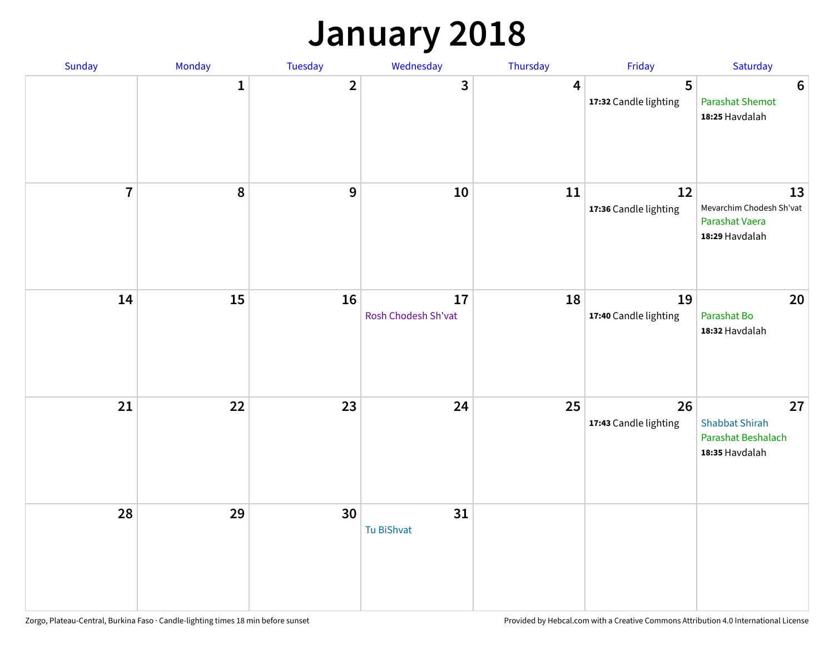## **January 2018**

| Sunday         | Monday | Tuesday        | Wednesday                 | Thursday       | Friday                      | Saturday                                                            |
|----------------|--------|----------------|---------------------------|----------------|-----------------------------|---------------------------------------------------------------------|
|                | 1      | $\overline{2}$ | 3                         | $\overline{4}$ | 5<br>17:32 Candle lighting  | $6\phantom{1}6$<br><b>Parashat Shemot</b><br>18:25 Havdalah         |
| $\overline{7}$ | 8      | $\mathbf{9}$   | 10                        | 11             | 12<br>17:36 Candle lighting | 13<br>Mevarchim Chodesh Sh'vat<br>Parashat Vaera<br>18:29 Havdalah  |
| 14             | 15     | 16             | 17<br>Rosh Chodesh Sh'vat | 18             | 19<br>17:40 Candle lighting | 20<br>Parashat Bo<br>18:32 Havdalah                                 |
| 21             | 22     | 23             | 24                        | 25             | 26<br>17:43 Candle lighting | 27<br><b>Shabbat Shirah</b><br>Parashat Beshalach<br>18:35 Havdalah |
| 28             | 29     | 30             | 31<br>Tu BiShvat          |                |                             |                                                                     |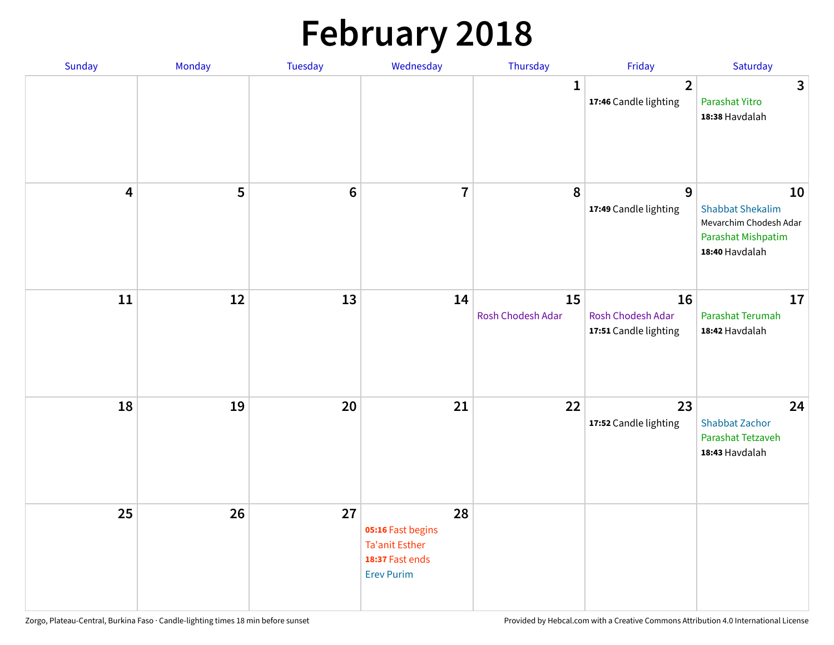## **February 2018**

| Sunday                  | Monday | Tuesday          | Wednesday                                                                                | Thursday                | Friday                                           | Saturday                                                                                        |
|-------------------------|--------|------------------|------------------------------------------------------------------------------------------|-------------------------|--------------------------------------------------|-------------------------------------------------------------------------------------------------|
|                         |        |                  |                                                                                          | $\mathbf{1}$            | $\mathbf{2}$<br>17:46 Candle lighting            | $\mathbf{3}$<br>Parashat Yitro<br>18:38 Havdalah                                                |
| $\overline{\mathbf{4}}$ | 5      | $\boldsymbol{6}$ | $\overline{7}$                                                                           | 8                       | 9<br>17:49 Candle lighting                       | 10<br><b>Shabbat Shekalim</b><br>Mevarchim Chodesh Adar<br>Parashat Mishpatim<br>18:40 Havdalah |
| 11                      | 12     | 13               | 14                                                                                       | 15<br>Rosh Chodesh Adar | 16<br>Rosh Chodesh Adar<br>17:51 Candle lighting | 17<br>Parashat Terumah<br>18:42 Havdalah                                                        |
| 18                      | 19     | 20               | 21                                                                                       | 22                      | 23<br>17:52 Candle lighting                      | 24<br><b>Shabbat Zachor</b><br>Parashat Tetzaveh<br>18:43 Havdalah                              |
| 25                      | 26     | 27               | 28<br>05:16 Fast begins<br><b>Ta'anit Esther</b><br>18:37 Fast ends<br><b>Erev Purim</b> |                         |                                                  |                                                                                                 |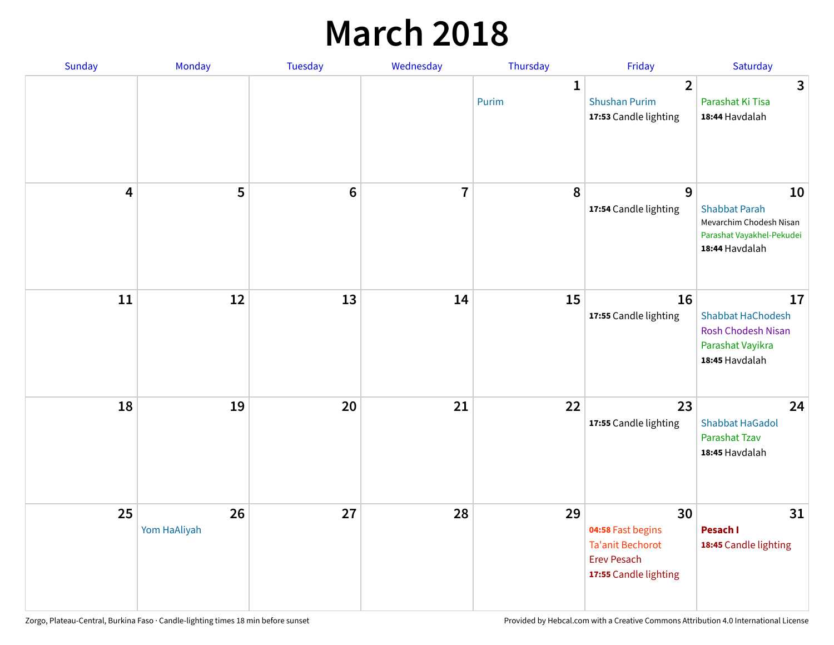### **March 2018**

| Sunday | Monday                       | <b>Tuesday</b> | Wednesday      | Thursday              | Friday                                                                                            | Saturday                                                                                             |
|--------|------------------------------|----------------|----------------|-----------------------|---------------------------------------------------------------------------------------------------|------------------------------------------------------------------------------------------------------|
|        |                              |                |                | $\mathbf{1}$<br>Purim | $\overline{2}$<br><b>Shushan Purim</b><br>17:53 Candle lighting                                   | 3<br>Parashat Ki Tisa<br>18:44 Havdalah                                                              |
|        | 5<br>$\overline{\mathbf{4}}$ | $\bf 6$        | $\overline{7}$ | 8                     | 9<br>17:54 Candle lighting                                                                        | 10<br><b>Shabbat Parah</b><br>Mevarchim Chodesh Nisan<br>Parashat Vayakhel-Pekudei<br>18:44 Havdalah |
|        | 11<br>12                     | 13             | 14             | 15                    | 16<br>17:55 Candle lighting                                                                       | 17<br><b>Shabbat HaChodesh</b><br><b>Rosh Chodesh Nisan</b><br>Parashat Vayikra<br>18:45 Havdalah    |
|        | 18<br>19                     | 20             | 21             | 22                    | 23<br>17:55 Candle lighting                                                                       | 24<br><b>Shabbat HaGadol</b><br>Parashat Tzav<br>18:45 Havdalah                                      |
|        | 25<br>26<br>Yom HaAliyah     | 27             | 28             | 29                    | 30<br>04:58 Fast begins<br><b>Ta'anit Bechorot</b><br><b>Erev Pesach</b><br>17:55 Candle lighting | 31<br>Pesach I<br>18:45 Candle lighting                                                              |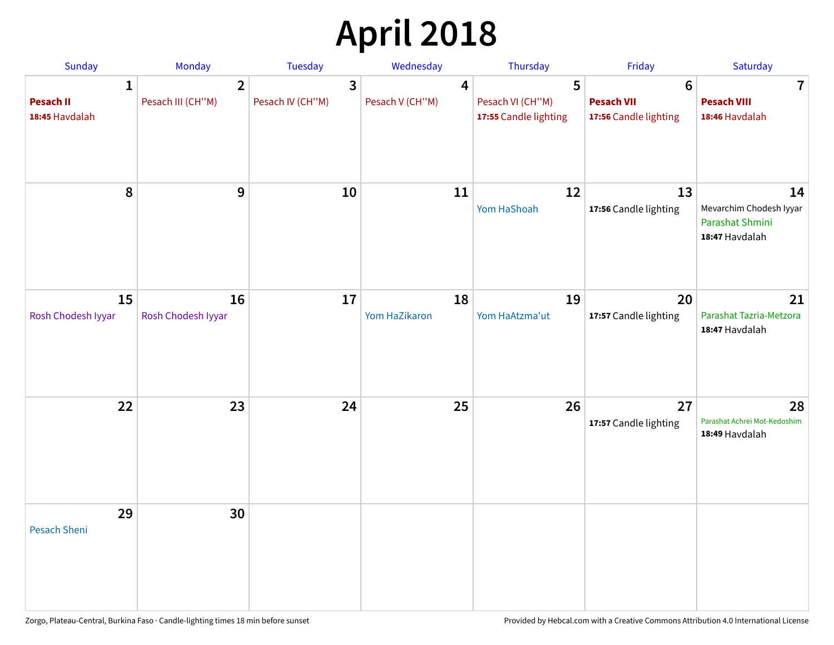# **April 2018**

| <b>Sunday</b>                           | Monday                              | Tuesday                                     | Wednesday            | Thursday                                       | Friday                                          | Saturday                                                           |
|-----------------------------------------|-------------------------------------|---------------------------------------------|----------------------|------------------------------------------------|-------------------------------------------------|--------------------------------------------------------------------|
| 1<br><b>Pesach II</b><br>18:45 Havdalah | $\overline{2}$<br>Pesach III (CH"M) | $\overline{\mathbf{3}}$<br>Pesach IV (CH"M) | 4<br>Pesach V (CH"M) | 5<br>Pesach VI (CH"M)<br>17:55 Candle lighting | 6<br><b>Pesach VII</b><br>17:56 Candle lighting | $\mathbf 7$<br><b>Pesach VIII</b><br>18:46 Havdalah                |
| 8                                       | 9                                   | 10                                          | 11                   | 12<br>Yom HaShoah                              | 13<br>17:56 Candle lighting                     | 14<br>Mevarchim Chodesh Iyyar<br>Parashat Shmini<br>18:47 Havdalah |
| 15<br>Rosh Chodesh Iyyar                | 16<br>Rosh Chodesh Iyyar            | 17                                          | 18<br>Yom HaZikaron  | 19<br>Yom HaAtzma'ut                           | 20<br>17:57 Candle lighting                     | 21<br>Parashat Tazria-Metzora<br>18:47 Havdalah                    |
| 22                                      | 23                                  | 24                                          | 25                   | 26                                             | 27<br>17:57 Candle lighting                     | 28<br>Parashat Achrei Mot-Kedoshim<br>18:49 Havdalah               |
| 29<br>Pesach Sheni                      | 30                                  |                                             |                      |                                                |                                                 |                                                                    |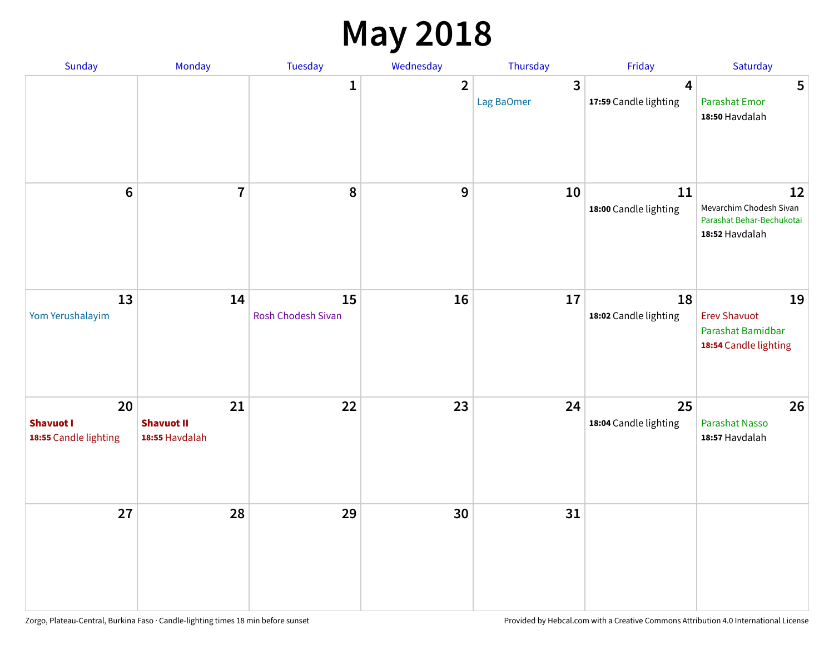## **May 2018**

| Sunday                                          | Monday                                    | Tuesday                  | Wednesday      | Thursday        | Friday                      | Saturday                                                                     |
|-------------------------------------------------|-------------------------------------------|--------------------------|----------------|-----------------|-----------------------------|------------------------------------------------------------------------------|
|                                                 |                                           | $\mathbf{1}$             | $\overline{2}$ | 3<br>Lag BaOmer | 4<br>17:59 Candle lighting  | 5<br><b>Parashat Emor</b><br>18:50 Havdalah                                  |
| $6\phantom{1}$                                  | $\overline{7}$                            | $\pmb{8}$                | 9              | 10              | 11<br>18:00 Candle lighting | 12<br>Mevarchim Chodesh Sivan<br>Parashat Behar-Bechukotai<br>18:52 Havdalah |
| 13<br>Yom Yerushalayim                          | 14                                        | 15<br>Rosh Chodesh Sivan | 16             | 17              | 18<br>18:02 Candle lighting | 19<br><b>Erev Shavuot</b><br>Parashat Bamidbar<br>18:54 Candle lighting      |
| 20<br><b>Shavuot I</b><br>18:55 Candle lighting | 21<br><b>Shavuot II</b><br>18:55 Havdalah | 22                       | 23             | 24              | 25<br>18:04 Candle lighting | 26<br><b>Parashat Nasso</b><br>18:57 Havdalah                                |
| 27                                              | 28                                        | 29                       | 30             | 31              |                             |                                                                              |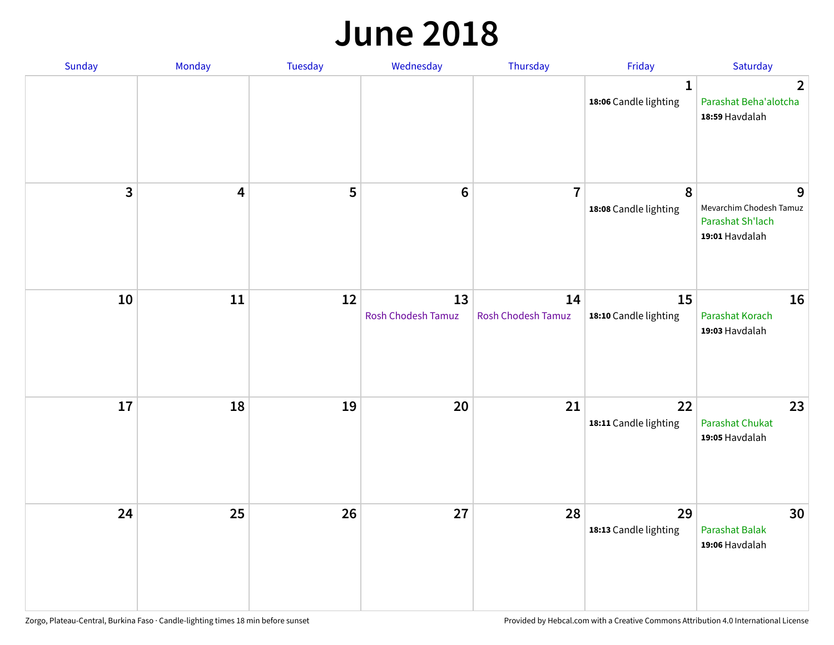#### **June 2018**

| Sunday                  | Monday | Tuesday | Wednesday                | Thursday                        | Friday                                | Saturday                                                           |
|-------------------------|--------|---------|--------------------------|---------------------------------|---------------------------------------|--------------------------------------------------------------------|
|                         |        |         |                          |                                 | $\mathbf{1}$<br>18:06 Candle lighting | $\mathbf{2}$<br>Parashat Beha'alotcha<br>18:59 Havdalah            |
| $\overline{\mathbf{3}}$ | 4      | 5       | $\bf 6$                  | $\overline{7}$                  | 8<br>18:08 Candle lighting            | 9<br>Mevarchim Chodesh Tamuz<br>Parashat Sh'lach<br>19:01 Havdalah |
| 10                      | $11\,$ | 12      | 13<br>Rosh Chodesh Tamuz | 14<br><b>Rosh Chodesh Tamuz</b> | 15<br>18:10 Candle lighting           | 16<br>Parashat Korach<br>19:03 Havdalah                            |
| 17                      | 18     | 19      | 20                       | 21                              | 22<br>18:11 Candle lighting           | 23<br><b>Parashat Chukat</b><br>19:05 Havdalah                     |
| 24                      | 25     | 26      | 27                       | 28                              | 29<br>18:13 Candle lighting           | 30<br>Parashat Balak<br>19:06 Havdalah                             |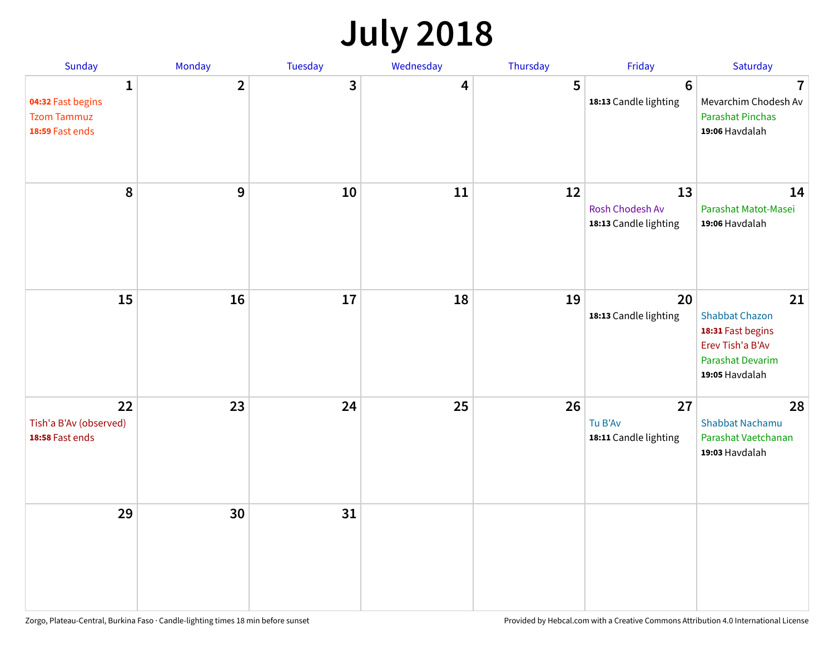## **July 2018**

| Sunday                                                          | Monday         | Tuesday      | Wednesday | Thursday | Friday                                         | Saturday                                                                                                   |
|-----------------------------------------------------------------|----------------|--------------|-----------|----------|------------------------------------------------|------------------------------------------------------------------------------------------------------------|
| 1<br>04:32 Fast begins<br><b>Tzom Tammuz</b><br>18:59 Fast ends | $\overline{2}$ | $\mathbf{3}$ | 4         | 5        | $6\phantom{1}6$<br>18:13 Candle lighting       | $\overline{7}$<br>Mevarchim Chodesh Av<br><b>Parashat Pinchas</b><br>19:06 Havdalah                        |
| 8                                                               | 9              | 10           | 11        | 12       | 13<br>Rosh Chodesh Av<br>18:13 Candle lighting | 14<br>Parashat Matot-Masei<br>19:06 Havdalah                                                               |
| 15                                                              | 16             | 17           | 18        | 19       | 20<br>18:13 Candle lighting                    | 21<br><b>Shabbat Chazon</b><br>18:31 Fast begins<br>Erev Tish'a B'Av<br>Parashat Devarim<br>19:05 Havdalah |
| 22<br>Tish'a B'Av (observed)<br>18:58 Fast ends                 | 23             | 24           | 25        | 26       | 27<br>Tu B'Av<br>18:11 Candle lighting         | 28<br><b>Shabbat Nachamu</b><br>Parashat Vaetchanan<br>19:03 Havdalah                                      |
| 29                                                              | 30             | 31           |           |          |                                                |                                                                                                            |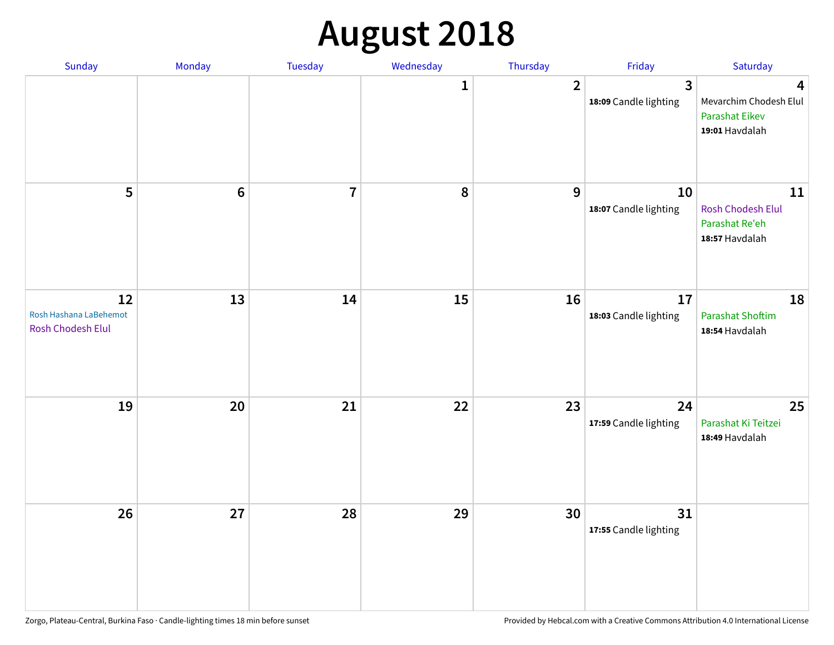## **August 2018**

| Sunday                                                   | Monday           | Tuesday        | Wednesday | Thursday       | Friday                                | Saturday                                                               |
|----------------------------------------------------------|------------------|----------------|-----------|----------------|---------------------------------------|------------------------------------------------------------------------|
|                                                          |                  |                | 1         | $\overline{2}$ | $\mathbf{3}$<br>18:09 Candle lighting | 4<br>Mevarchim Chodesh Elul<br><b>Parashat Eikev</b><br>19:01 Havdalah |
| 5                                                        | $\boldsymbol{6}$ | $\overline{7}$ | $\pmb{8}$ | 9              | 10<br>18:07 Candle lighting           | 11<br>Rosh Chodesh Elul<br>Parashat Re'eh<br>18:57 Havdalah            |
| 12<br>Rosh Hashana LaBehemot<br><b>Rosh Chodesh Elul</b> | 13               | 14             | 15        | 16             | 17<br>18:03 Candle lighting           | 18<br><b>Parashat Shoftim</b><br>18:54 Havdalah                        |
| 19                                                       | 20               | 21             | 22        | 23             | 24<br>17:59 Candle lighting           | 25<br>Parashat Ki Teitzei<br>18:49 Havdalah                            |
| 26                                                       | 27               | 28             | 29        | 30             | 31<br>17:55 Candle lighting           |                                                                        |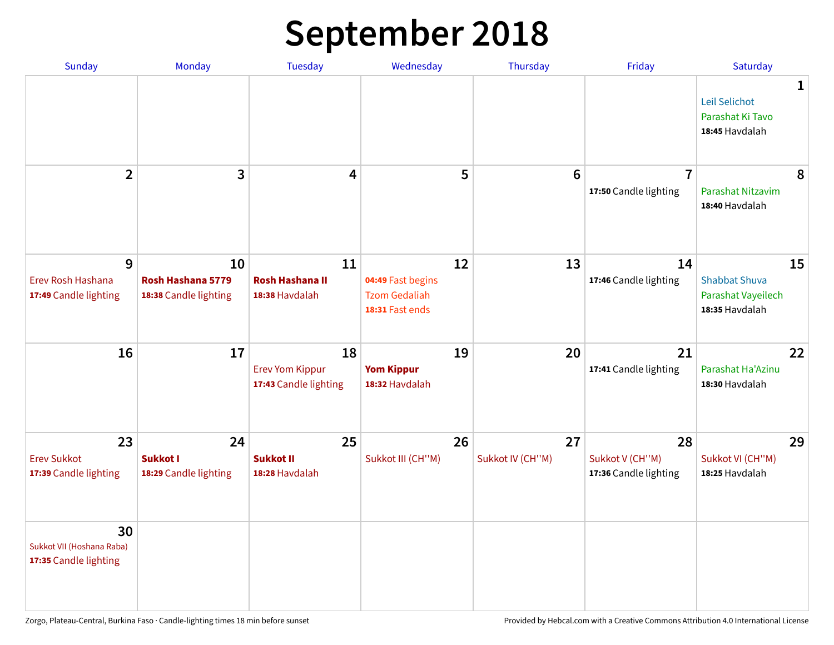## **September 2018**

| Sunday                                                   | Monday                                           | <b>Tuesday</b>                                        | Wednesday                                                          | Thursday               | Friday                                         | Saturday                                                           |
|----------------------------------------------------------|--------------------------------------------------|-------------------------------------------------------|--------------------------------------------------------------------|------------------------|------------------------------------------------|--------------------------------------------------------------------|
|                                                          |                                                  |                                                       |                                                                    |                        |                                                | 1<br>Leil Selichot<br>Parashat Ki Tavo<br>18:45 Havdalah           |
| $\overline{2}$                                           | 3                                                | 4                                                     | 5                                                                  | $6\phantom{1}6$        | $\overline{7}$<br>17:50 Candle lighting        | 8<br>Parashat Nitzavim<br>18:40 Havdalah                           |
| 9<br>Erev Rosh Hashana<br>17:49 Candle lighting          | 10<br>Rosh Hashana 5779<br>18:38 Candle lighting | 11<br><b>Rosh Hashana II</b><br>18:38 Havdalah        | 12<br>04:49 Fast begins<br><b>Tzom Gedaliah</b><br>18:31 Fast ends | 13                     | 14<br>17:46 Candle lighting                    | 15<br><b>Shabbat Shuva</b><br>Parashat Vayeilech<br>18:35 Havdalah |
| 16                                                       | 17                                               | 18<br><b>Erev Yom Kippur</b><br>17:43 Candle lighting | 19<br><b>Yom Kippur</b><br>18:32 Havdalah                          | 20                     | 21<br>17:41 Candle lighting                    | 22<br>Parashat Ha'Azinu<br>18:30 Havdalah                          |
| 23<br><b>Erev Sukkot</b><br>17:39 Candle lighting        | 24<br><b>Sukkot I</b><br>18:29 Candle lighting   | 25<br><b>Sukkot II</b><br>18:28 Havdalah              | 26<br>Sukkot III (CH"M)                                            | 27<br>Sukkot IV (CH"M) | 28<br>Sukkot V (CH"M)<br>17:36 Candle lighting | 29<br>Sukkot VI (CH"M)<br>18:25 Havdalah                           |
| 30<br>Sukkot VII (Hoshana Raba)<br>17:35 Candle lighting |                                                  |                                                       |                                                                    |                        |                                                |                                                                    |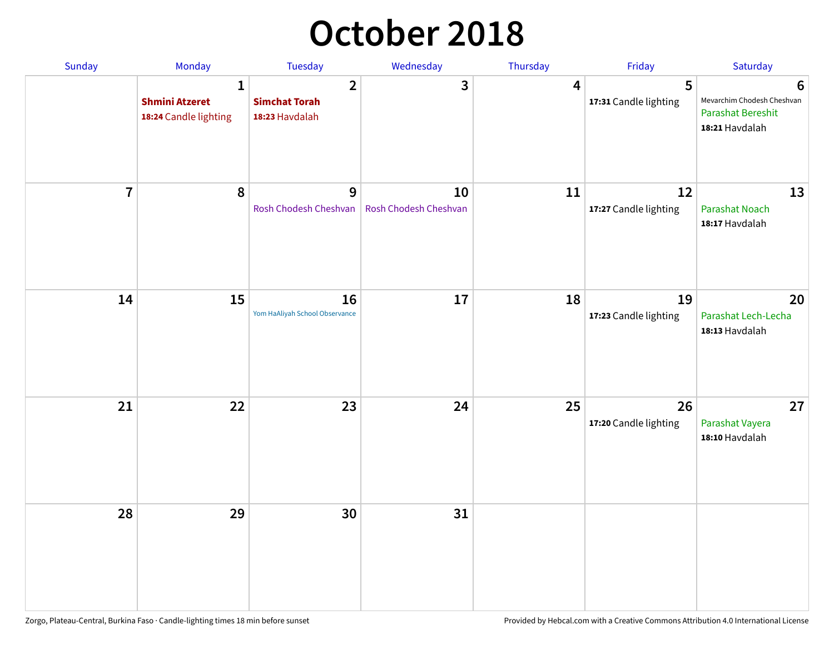## **October 2018**

| Sunday         | Monday                                              | <b>Tuesday</b>                                           | Wednesday                   | Thursday | Friday                      | Saturday                                                                      |
|----------------|-----------------------------------------------------|----------------------------------------------------------|-----------------------------|----------|-----------------------------|-------------------------------------------------------------------------------|
|                | 1<br><b>Shmini Atzeret</b><br>18:24 Candle lighting | $\overline{2}$<br><b>Simchat Torah</b><br>18:23 Havdalah | 3                           | 4        | 5<br>17:31 Candle lighting  | 6<br>Mevarchim Chodesh Cheshvan<br><b>Parashat Bereshit</b><br>18:21 Havdalah |
| $\overline{7}$ | $\boldsymbol{8}$                                    | 9<br>Rosh Chodesh Cheshvan                               | 10<br>Rosh Chodesh Cheshvan | 11       | 12<br>17:27 Candle lighting | 13<br><b>Parashat Noach</b><br>18:17 Havdalah                                 |
| 14             | 15                                                  | 16<br>Yom HaAliyah School Observance                     | 17                          | 18       | 19<br>17:23 Candle lighting | 20<br>Parashat Lech-Lecha<br>18:13 Havdalah                                   |
| 21             | 22                                                  | 23                                                       | 24                          | 25       | 26<br>17:20 Candle lighting | 27<br>Parashat Vayera<br>18:10 Havdalah                                       |
| 28             | 29                                                  | 30                                                       | 31                          |          |                             |                                                                               |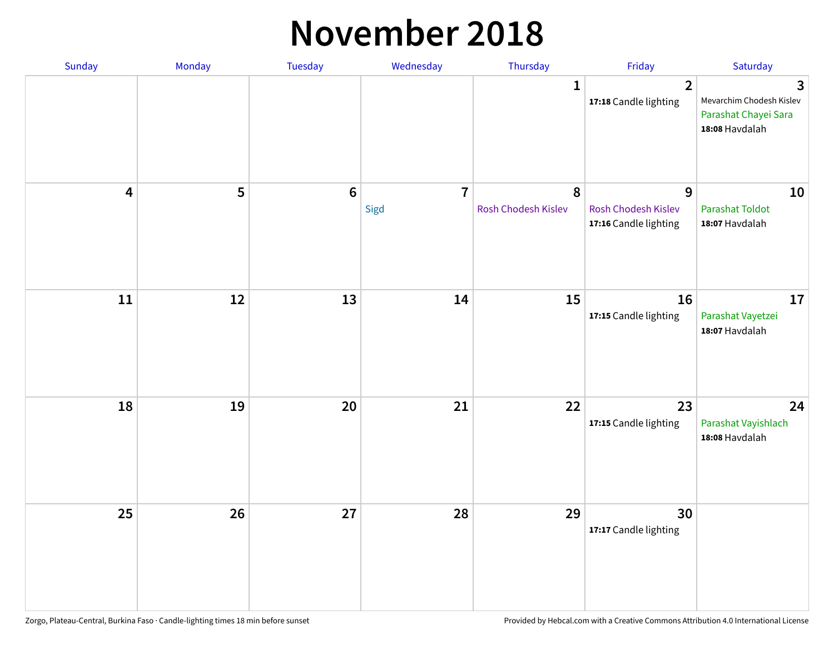#### **November 2018**

| Sunday                  | Monday | Tuesday         | Wednesday              | Thursday                 | Friday                                                   | Saturday                                                                |
|-------------------------|--------|-----------------|------------------------|--------------------------|----------------------------------------------------------|-------------------------------------------------------------------------|
|                         |        |                 |                        | $\mathbf{1}$             | $\overline{2}$<br>17:18 Candle lighting                  | 3<br>Mevarchim Chodesh Kislev<br>Parashat Chayei Sara<br>18:08 Havdalah |
| $\overline{\mathbf{4}}$ | 5      | $6\phantom{1}6$ | $\overline{7}$<br>Sigd | 8<br>Rosh Chodesh Kislev | 9<br><b>Rosh Chodesh Kislev</b><br>17:16 Candle lighting | 10<br><b>Parashat Toldot</b><br>18:07 Havdalah                          |
| ${\bf 11}$              | 12     | 13              | 14                     | 15                       | 16<br>17:15 Candle lighting                              | 17<br>Parashat Vayetzei<br>18:07 Havdalah                               |
| 18                      | 19     | 20              | 21                     | 22                       | 23<br>17:15 Candle lighting                              | 24<br>Parashat Vayishlach<br>18:08 Havdalah                             |
| 25                      | 26     | 27              | 28                     | 29                       | 30<br>17:17 Candle lighting                              |                                                                         |